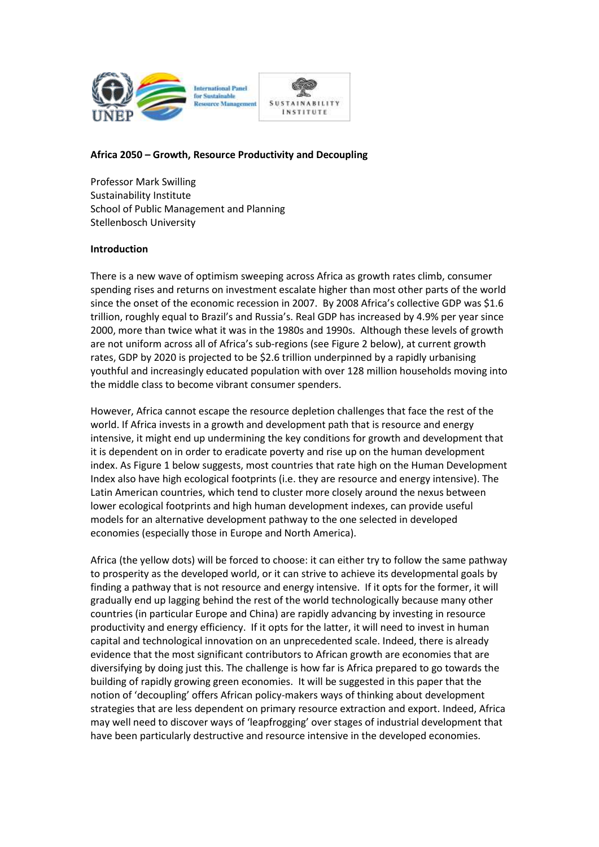

#### **Africa 2050 – Growth, Resource Productivity and Decoupling**

Professor Mark Swilling Sustainability Institute School of Public Management and Planning Stellenbosch University

#### **Introduction**

There is a new wave of optimism sweeping across Africa as growth rates climb, consumer spending rises and returns on investment escalate higher than most other parts of the world since the onset of the economic recession in 2007. By 2008 Africa's collective GDP was \$1.6 trillion, roughly equal to Brazil's and Russia's. Real GDP has increased by 4.9% per year since 2000, more than twice what it was in the 1980s and 1990s. Although these levels of growth are not uniform across all of Africa's sub-regions (see Figure 2 below), at current growth rates, GDP by 2020 is projected to be \$2.6 trillion underpinned by a rapidly urbanising youthful and increasingly educated population with over 128 million households moving into the middle class to become vibrant consumer spenders.

However, Africa cannot escape the resource depletion challenges that face the rest of the world. If Africa invests in a growth and development path that is resource and energy intensive, it might end up undermining the key conditions for growth and development that it is dependent on in order to eradicate poverty and rise up on the human development index. As Figure 1 below suggests, most countries that rate high on the Human Development Index also have high ecological footprints (i.e. they are resource and energy intensive). The Latin American countries, which tend to cluster more closely around the nexus between lower ecological footprints and high human development indexes, can provide useful models for an alternative development pathway to the one selected in developed economies (especially those in Europe and North America).

Africa (the yellow dots) will be forced to choose: it can either try to follow the same pathway to prosperity as the developed world, or it can strive to achieve its developmental goals by finding a pathway that is not resource and energy intensive. If it opts for the former, it will gradually end up lagging behind the rest of the world technologically because many other countries (in particular Europe and China) are rapidly advancing by investing in resource productivity and energy efficiency. If it opts for the latter, it will need to invest in human capital and technological innovation on an unprecedented scale. Indeed, there is already evidence that the most significant contributors to African growth are economies that are diversifying by doing just this. The challenge is how far is Africa prepared to go towards the building of rapidly growing green economies. It will be suggested in this paper that the notion of 'decoupling' offers African policy-makers ways of thinking about development strategies that are less dependent on primary resource extraction and export. Indeed, Africa may well need to discover ways of 'leapfrogging' over stages of industrial development that have been particularly destructive and resource intensive in the developed economies.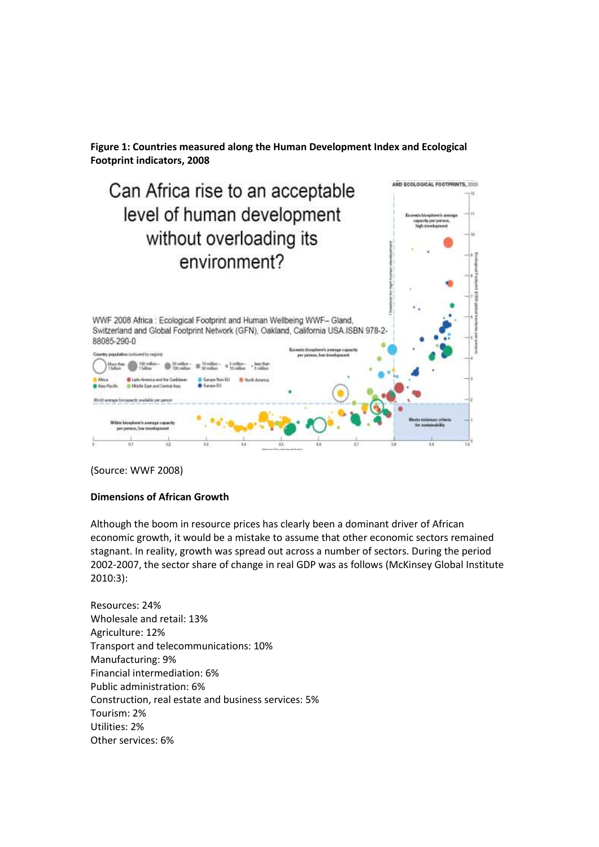**Figure 1: Countries measured along the Human Development Index and Ecological Footprint indicators, 2008**



(Source: WWF 2008)

#### **Dimensions of African Growth**

Although the boom in resource prices has clearly been a dominant driver of African economic growth, it would be a mistake to assume that other economic sectors remained stagnant. In reality, growth was spread out across a number of sectors. During the period 2002-2007, the sector share of change in real GDP was as follows (McKinsey Global Institute 2010:3):

Resources: 24% Wholesale and retail: 13% Agriculture: 12% Transport and telecommunications: 10% Manufacturing: 9% Financial intermediation: 6% Public administration: 6% Construction, real estate and business services: 5% Tourism: 2% Utilities: 2% Other services: 6%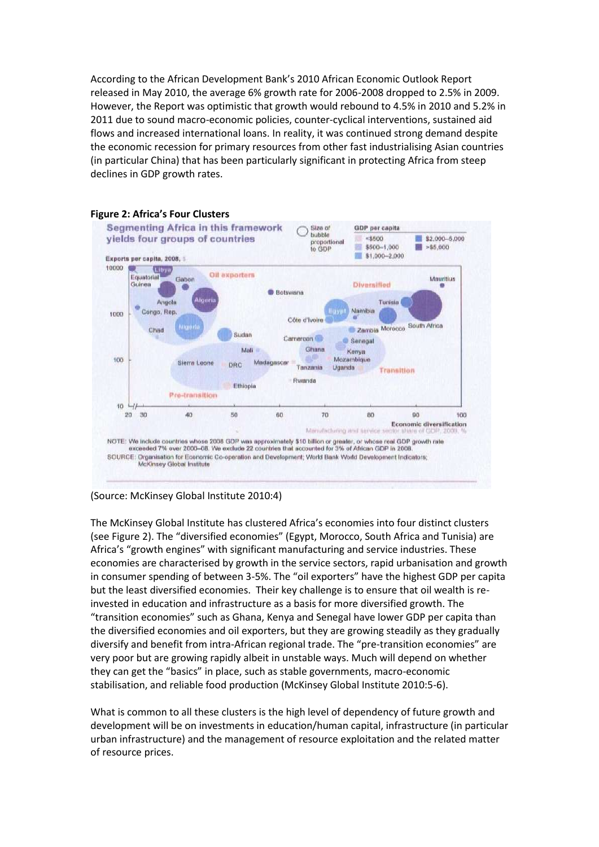According to the African Development Bank's 2010 African Economic Outlook Report released in May 2010, the average 6% growth rate for 2006-2008 dropped to 2.5% in 2009. However, the Report was optimistic that growth would rebound to 4.5% in 2010 and 5.2% in 2011 due to sound macro-economic policies, counter-cyclical interventions, sustained aid flows and increased international loans. In reality, it was continued strong demand despite the economic recession for primary resources from other fast industrialising Asian countries (in particular China) that has been particularly significant in protecting Africa from steep declines in GDP growth rates.





The McKinsey Global Institute has clustered Africa's economies into four distinct clusters (see Figure 2). The "diversified economies" (Egypt, Morocco, South Africa and Tunisia) are Africa's "growth engines" with significant manufacturing and service industries. These economies are characterised by growth in the service sectors, rapid urbanisation and growth in consumer spending of between 3-5%. The "oil exporters" have the highest GDP per capita but the least diversified economies. Their key challenge is to ensure that oil wealth is reinvested in education and infrastructure as a basis for more diversified growth. The "transition economies" such as Ghana, Kenya and Senegal have lower GDP per capita than the diversified economies and oil exporters, but they are growing steadily as they gradually diversify and benefit from intra-African regional trade. The "pre-transition economies" are very poor but are growing rapidly albeit in unstable ways. Much will depend on whether they can get the "basics" in place, such as stable governments, macro-economic stabilisation, and reliable food production (McKinsey Global Institute 2010:5-6).

What is common to all these clusters is the high level of dependency of future growth and development will be on investments in education/human capital, infrastructure (in particular urban infrastructure) and the management of resource exploitation and the related matter of resource prices.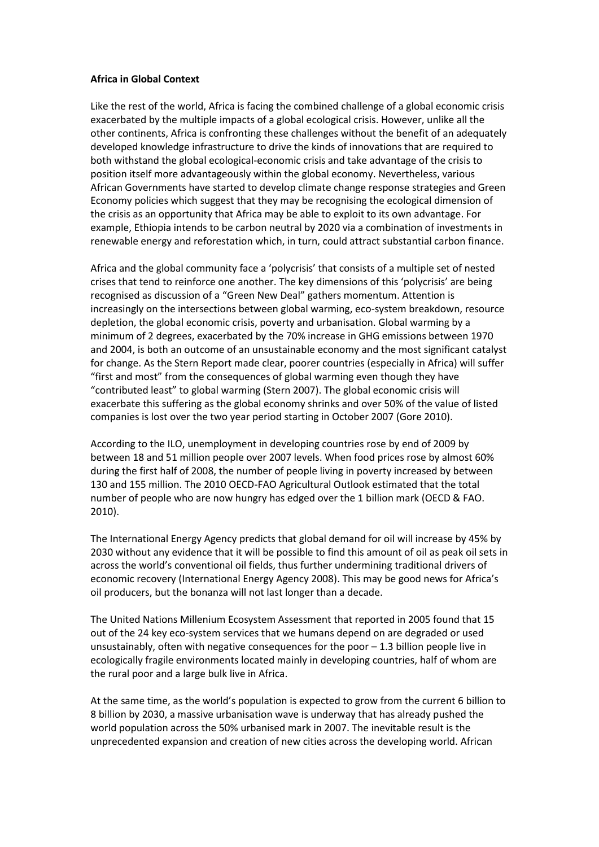#### **Africa in Global Context**

Like the rest of the world, Africa is facing the combined challenge of a global economic crisis exacerbated by the multiple impacts of a global ecological crisis. However, unlike all the other continents, Africa is confronting these challenges without the benefit of an adequately developed knowledge infrastructure to drive the kinds of innovations that are required to both withstand the global ecological-economic crisis and take advantage of the crisis to position itself more advantageously within the global economy. Nevertheless, various African Governments have started to develop climate change response strategies and Green Economy policies which suggest that they may be recognising the ecological dimension of the crisis as an opportunity that Africa may be able to exploit to its own advantage. For example, Ethiopia intends to be carbon neutral by 2020 via a combination of investments in renewable energy and reforestation which, in turn, could attract substantial carbon finance.

Africa and the global community face a 'polycrisis' that consists of a multiple set of nested crises that tend to reinforce one another. The key dimensions of this 'polycrisis' are being recognised as discussion of a "Green New Deal" gathers momentum. Attention is increasingly on the intersections between global warming, eco-system breakdown, resource depletion, the global economic crisis, poverty and urbanisation. Global warming by a minimum of 2 degrees, exacerbated by the 70% increase in GHG emissions between 1970 and 2004, is both an outcome of an unsustainable economy and the most significant catalyst for change. As the Stern Report made clear, poorer countries (especially in Africa) will suffer "first and most" from the consequences of global warming even though they have "contributed least" to global warming (Stern 2007). The global economic crisis will exacerbate this suffering as the global economy shrinks and over 50% of the value of listed companies is lost over the two year period starting in October 2007 (Gore 2010).

According to the ILO, unemployment in developing countries rose by end of 2009 by between 18 and 51 million people over 2007 levels. When food prices rose by almost 60% during the first half of 2008, the number of people living in poverty increased by between 130 and 155 million. The 2010 OECD-FAO Agricultural Outlook estimated that the total number of people who are now hungry has edged over the 1 billion mark (OECD & FAO. 2010).

The International Energy Agency predicts that global demand for oil will increase by 45% by 2030 without any evidence that it will be possible to find this amount of oil as peak oil sets in across the world's conventional oil fields, thus further undermining traditional drivers of economic recovery (International Energy Agency 2008). This may be good news for Africa's oil producers, but the bonanza will not last longer than a decade.

The United Nations Millenium Ecosystem Assessment that reported in 2005 found that 15 out of the 24 key eco-system services that we humans depend on are degraded or used unsustainably, often with negative consequences for the poor – 1.3 billion people live in ecologically fragile environments located mainly in developing countries, half of whom are the rural poor and a large bulk live in Africa.

At the same time, as the world's population is expected to grow from the current 6 billion to 8 billion by 2030, a massive urbanisation wave is underway that has already pushed the world population across the 50% urbanised mark in 2007. The inevitable result is the unprecedented expansion and creation of new cities across the developing world. African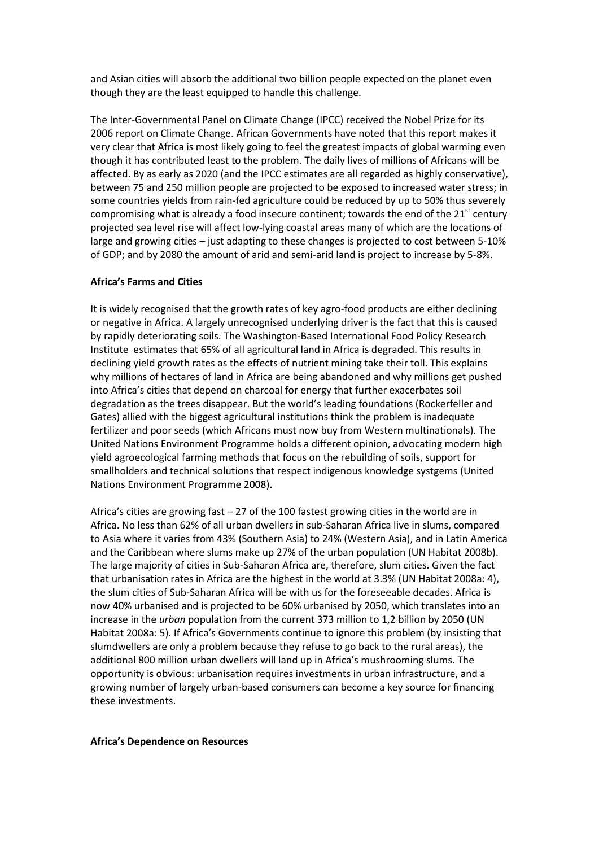and Asian cities will absorb the additional two billion people expected on the planet even though they are the least equipped to handle this challenge.

The Inter-Governmental Panel on Climate Change (IPCC) received the Nobel Prize for its 2006 report on Climate Change. African Governments have noted that this report makes it very clear that Africa is most likely going to feel the greatest impacts of global warming even though it has contributed least to the problem. The daily lives of millions of Africans will be affected. By as early as 2020 (and the IPCC estimates are all regarded as highly conservative), between 75 and 250 million people are projected to be exposed to increased water stress; in some countries yields from rain-fed agriculture could be reduced by up to 50% thus severely compromising what is already a food insecure continent; towards the end of the  $21^{st}$  century projected sea level rise will affect low-lying coastal areas many of which are the locations of large and growing cities – just adapting to these changes is projected to cost between 5-10% of GDP; and by 2080 the amount of arid and semi-arid land is project to increase by 5-8%.

# **Africa's Farms and Cities**

It is widely recognised that the growth rates of key agro-food products are either declining or negative in Africa. A largely unrecognised underlying driver is the fact that this is caused by rapidly deteriorating soils. The Washington-Based International Food Policy Research Institute estimates that 65% of all agricultural land in Africa is degraded. This results in declining yield growth rates as the effects of nutrient mining take their toll. This explains why millions of hectares of land in Africa are being abandoned and why millions get pushed into Africa's cities that depend on charcoal for energy that further exacerbates soil degradation as the trees disappear. But the world's leading foundations (Rockerfeller and Gates) allied with the biggest agricultural institutions think the problem is inadequate fertilizer and poor seeds (which Africans must now buy from Western multinationals). The United Nations Environment Programme holds a different opinion, advocating modern high yield agroecological farming methods that focus on the rebuilding of soils, support for smallholders and technical solutions that respect indigenous knowledge systgems (United Nations Environment Programme 2008).

Africa's cities are growing fast – 27 of the 100 fastest growing cities in the world are in Africa. No less than 62% of all urban dwellers in sub-Saharan Africa live in slums, compared to Asia where it varies from 43% (Southern Asia) to 24% (Western Asia), and in Latin America and the Caribbean where slums make up 27% of the urban population (UN Habitat 2008b). The large majority of cities in Sub-Saharan Africa are, therefore, slum cities. Given the fact that urbanisation rates in Africa are the highest in the world at 3.3% (UN Habitat 2008a: 4), the slum cities of Sub-Saharan Africa will be with us for the foreseeable decades. Africa is now 40% urbanised and is projected to be 60% urbanised by 2050, which translates into an increase in the *urban* population from the current 373 million to 1,2 billion by 2050 (UN Habitat 2008a: 5). If Africa's Governments continue to ignore this problem (by insisting that slumdwellers are only a problem because they refuse to go back to the rural areas), the additional 800 million urban dwellers will land up in Africa's mushrooming slums. The opportunity is obvious: urbanisation requires investments in urban infrastructure, and a growing number of largely urban-based consumers can become a key source for financing these investments.

#### **Africa's Dependence on Resources**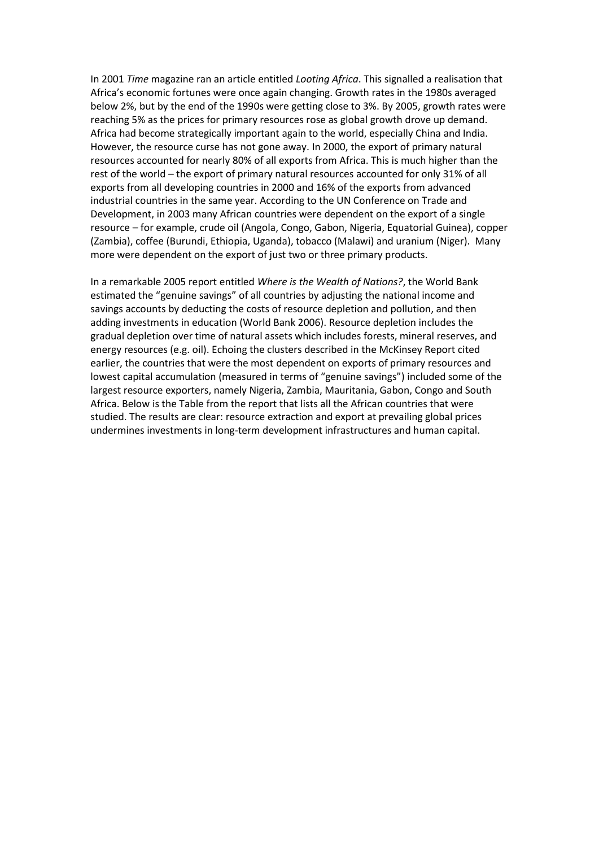In 2001 *Time* magazine ran an article entitled *Looting Africa*. This signalled a realisation that Africa's economic fortunes were once again changing. Growth rates in the 1980s averaged below 2%, but by the end of the 1990s were getting close to 3%. By 2005, growth rates were reaching 5% as the prices for primary resources rose as global growth drove up demand. Africa had become strategically important again to the world, especially China and India. However, the resource curse has not gone away. In 2000, the export of primary natural resources accounted for nearly 80% of all exports from Africa. This is much higher than the rest of the world – the export of primary natural resources accounted for only 31% of all exports from all developing countries in 2000 and 16% of the exports from advanced industrial countries in the same year. According to the UN Conference on Trade and Development, in 2003 many African countries were dependent on the export of a single resource – for example, crude oil (Angola, Congo, Gabon, Nigeria, Equatorial Guinea), copper (Zambia), coffee (Burundi, Ethiopia, Uganda), tobacco (Malawi) and uranium (Niger). Many more were dependent on the export of just two or three primary products.

In a remarkable 2005 report entitled *Where is the Wealth of Nations?*, the World Bank estimated the "genuine savings" of all countries by adjusting the national income and savings accounts by deducting the costs of resource depletion and pollution, and then adding investments in education (World Bank 2006). Resource depletion includes the gradual depletion over time of natural assets which includes forests, mineral reserves, and energy resources (e.g. oil). Echoing the clusters described in the McKinsey Report cited earlier, the countries that were the most dependent on exports of primary resources and lowest capital accumulation (measured in terms of "genuine savings") included some of the largest resource exporters, namely Nigeria, Zambia, Mauritania, Gabon, Congo and South Africa. Below is the Table from the report that lists all the African countries that were studied. The results are clear: resource extraction and export at prevailing global prices undermines investments in long-term development infrastructures and human capital.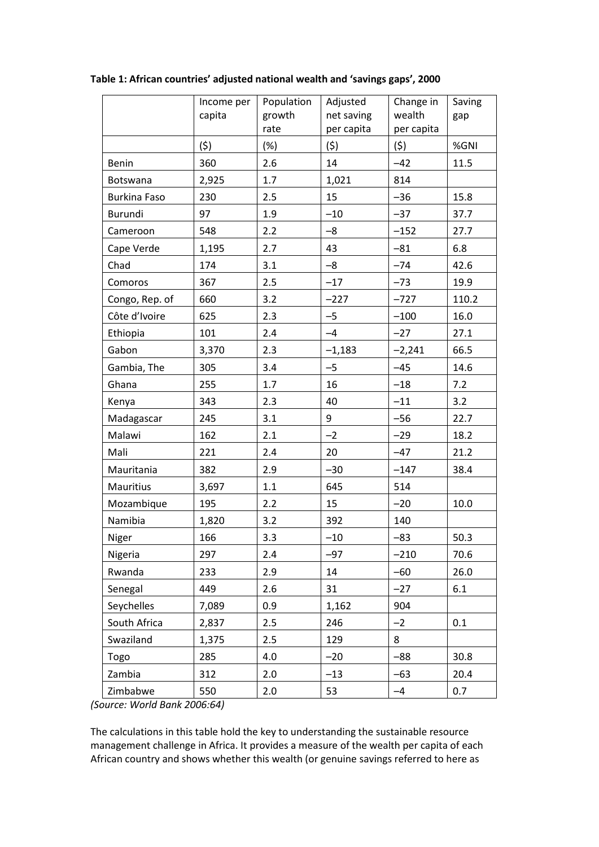|                     | Income per<br>capita | Population<br>growth<br>rate | Adjusted<br>net saving<br>per capita | Change in<br>wealth<br>per capita | Saving<br>gap |
|---------------------|----------------------|------------------------------|--------------------------------------|-----------------------------------|---------------|
|                     | (5)                  | (%)                          | (5)                                  | (5)                               | %GNI          |
| <b>Benin</b>        | 360                  | 2.6                          | 14                                   | $-42$                             | 11.5          |
| Botswana            | 2,925                | 1.7                          | 1,021                                | 814                               |               |
| <b>Burkina Faso</b> | 230                  | 2.5                          | 15                                   | $-36$                             | 15.8          |
| <b>Burundi</b>      | 97                   | 1.9                          | $-10$                                | $-37$                             | 37.7          |
| Cameroon            | 548                  | 2.2                          | $-8$                                 | $-152$                            | 27.7          |
| Cape Verde          | 1,195                | 2.7                          | 43                                   | $-81$                             | 6.8           |
| Chad                | 174                  | 3.1                          | $-8$                                 | $-74$                             | 42.6          |
| Comoros             | 367                  | 2.5                          | $-17$                                | $-73$                             | 19.9          |
| Congo, Rep. of      | 660                  | 3.2                          | $-227$                               | $-727$                            | 110.2         |
| Côte d'Ivoire       | 625                  | 2.3                          | $-5$                                 | $-100$                            | 16.0          |
| Ethiopia            | 101                  | 2.4                          | $-4$                                 | $-27$                             | 27.1          |
| Gabon               | 3,370                | 2.3                          | $-1,183$                             | $-2,241$                          | 66.5          |
| Gambia, The         | 305                  | 3.4                          | $-5$                                 | $-45$                             | 14.6          |
| Ghana               | 255                  | 1.7                          | 16                                   | $-18$                             | 7.2           |
| Kenya               | 343                  | 2.3                          | 40                                   | $-11$                             | 3.2           |
| Madagascar          | 245                  | 3.1                          | 9                                    | $-56$                             | 22.7          |
| Malawi              | 162                  | 2.1                          | $-2$                                 | $-29$                             | 18.2          |
| Mali                | 221                  | 2.4                          | 20                                   | $-47$                             | 21.2          |
| Mauritania          | 382                  | 2.9                          | $-30$                                | $-147$                            | 38.4          |
| Mauritius           | 3,697                | 1.1                          | 645                                  | 514                               |               |
| Mozambique          | 195                  | 2.2                          | 15                                   | $-20$                             | 10.0          |
| Namibia             | 1,820                | 3.2                          | 392                                  | 140                               |               |
| Niger               | 166                  | 3.3                          | $-10$                                | $-83$                             | 50.3          |
| Nigeria             | 297                  | 2.4                          | $-97$                                | $-210$                            | 70.6          |
| Rwanda              | 233                  | 2.9                          | 14                                   | $-60$                             | 26.0          |
| Senegal             | 449                  | 2.6                          | 31                                   | $-27$                             | 6.1           |
| Seychelles          | 7,089                | 0.9                          | 1,162                                | 904                               |               |
| South Africa        | 2,837                | 2.5                          | 246                                  | $-2$                              | 0.1           |
| Swaziland           | 1,375                | 2.5                          | 129                                  | 8                                 |               |
| Togo                | 285                  | 4.0                          | $-20$                                | $-88$                             | 30.8          |
| Zambia              | 312                  | 2.0                          | $-13$                                | $-63$                             | 20.4          |
| Zimbabwe            | 550                  | 2.0                          | 53                                   | $-4$                              | 0.7           |

**Table 1: African countries' adjusted national wealth and 'savings gaps', 2000**

*(Source: World Bank 2006:64)*

The calculations in this table hold the key to understanding the sustainable resource management challenge in Africa. It provides a measure of the wealth per capita of each African country and shows whether this wealth (or genuine savings referred to here as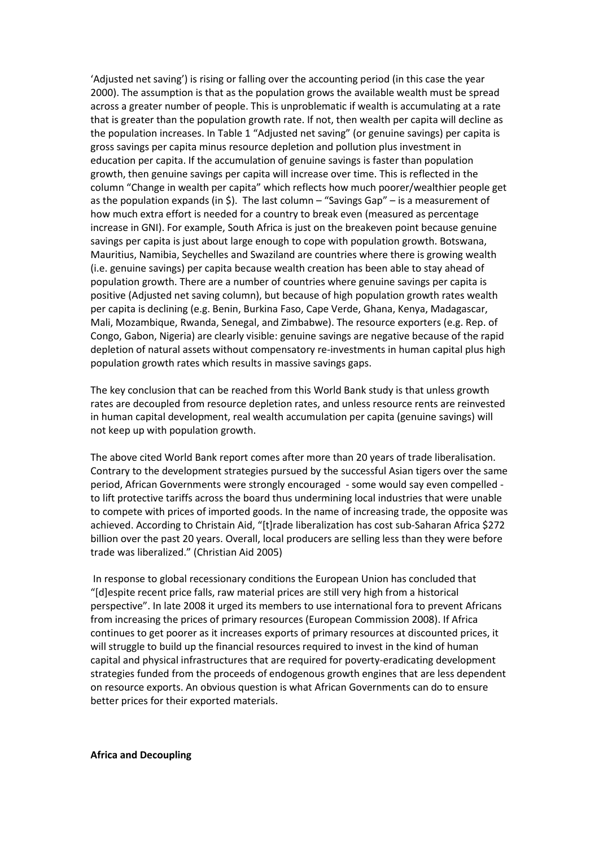'Adjusted net saving') is rising or falling over the accounting period (in this case the year 2000). The assumption is that as the population grows the available wealth must be spread across a greater number of people. This is unproblematic if wealth is accumulating at a rate that is greater than the population growth rate. If not, then wealth per capita will decline as the population increases. In Table 1 "Adjusted net saving" (or genuine savings) per capita is gross savings per capita minus resource depletion and pollution plus investment in education per capita. If the accumulation of genuine savings is faster than population growth, then genuine savings per capita will increase over time. This is reflected in the column "Change in wealth per capita" which reflects how much poorer/wealthier people get as the population expands (in \$). The last column – "Savings Gap" – is a measurement of how much extra effort is needed for a country to break even (measured as percentage increase in GNI). For example, South Africa is just on the breakeven point because genuine savings per capita is just about large enough to cope with population growth. Botswana, Mauritius, Namibia, Seychelles and Swaziland are countries where there is growing wealth (i.e. genuine savings) per capita because wealth creation has been able to stay ahead of population growth. There are a number of countries where genuine savings per capita is positive (Adjusted net saving column), but because of high population growth rates wealth per capita is declining (e.g. Benin, Burkina Faso, Cape Verde, Ghana, Kenya, Madagascar, Mali, Mozambique, Rwanda, Senegal, and Zimbabwe). The resource exporters (e.g. Rep. of Congo, Gabon, Nigeria) are clearly visible: genuine savings are negative because of the rapid depletion of natural assets without compensatory re-investments in human capital plus high population growth rates which results in massive savings gaps.

The key conclusion that can be reached from this World Bank study is that unless growth rates are decoupled from resource depletion rates, and unless resource rents are reinvested in human capital development, real wealth accumulation per capita (genuine savings) will not keep up with population growth.

The above cited World Bank report comes after more than 20 years of trade liberalisation. Contrary to the development strategies pursued by the successful Asian tigers over the same period, African Governments were strongly encouraged - some would say even compelled to lift protective tariffs across the board thus undermining local industries that were unable to compete with prices of imported goods. In the name of increasing trade, the opposite was achieved. According to Christain Aid, "[t]rade liberalization has cost sub-Saharan Africa \$272 billion over the past 20 years. Overall, local producers are selling less than they were before trade was liberalized." (Christian Aid 2005)

In response to global recessionary conditions the European Union has concluded that "Idlespite recent price falls, raw material prices are still very high from a historical perspective". In late 2008 it urged its members to use international fora to prevent Africans from increasing the prices of primary resources (European Commission 2008). If Africa continues to get poorer as it increases exports of primary resources at discounted prices, it will struggle to build up the financial resources required to invest in the kind of human capital and physical infrastructures that are required for poverty-eradicating development strategies funded from the proceeds of endogenous growth engines that are less dependent on resource exports. An obvious question is what African Governments can do to ensure better prices for their exported materials.

**Africa and Decoupling**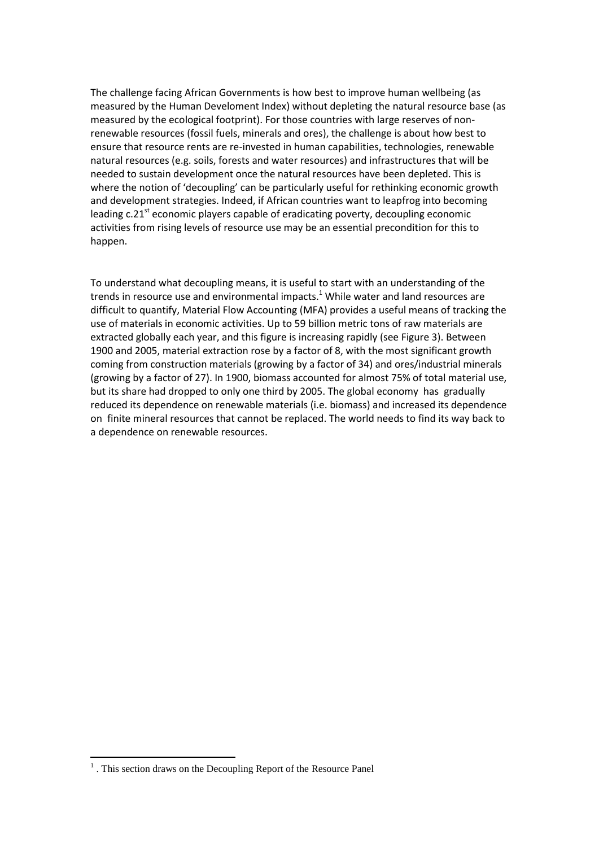The challenge facing African Governments is how best to improve human wellbeing (as measured by the Human Develoment Index) without depleting the natural resource base (as measured by the ecological footprint). For those countries with large reserves of nonrenewable resources (fossil fuels, minerals and ores), the challenge is about how best to ensure that resource rents are re-invested in human capabilities, technologies, renewable natural resources (e.g. soils, forests and water resources) and infrastructures that will be needed to sustain development once the natural resources have been depleted. This is where the notion of 'decoupling' can be particularly useful for rethinking economic growth and development strategies. Indeed, if African countries want to leapfrog into becoming leading  $c.21<sup>st</sup>$  economic players capable of eradicating poverty, decoupling economic activities from rising levels of resource use may be an essential precondition for this to happen.

To understand what decoupling means, it is useful to start with an understanding of the trends in resource use and environmental impacts. $1$  While water and land resources are difficult to quantify, Material Flow Accounting (MFA) provides a useful means of tracking the use of materials in economic activities. Up to 59 billion metric tons of raw materials are extracted globally each year, and this figure is increasing rapidly (see Figure 3). Between 1900 and 2005, material extraction rose by a factor of 8, with the most significant growth coming from construction materials (growing by a factor of 34) and ores/industrial minerals (growing by a factor of 27). In 1900, biomass accounted for almost 75% of total material use, but its share had dropped to only one third by 2005. The global economy has gradually reduced its dependence on renewable materials (i.e. biomass) and increased its dependence on finite mineral resources that cannot be replaced. The world needs to find its way back to a dependence on renewable resources.

1

<sup>&</sup>lt;sup>1</sup>. This section draws on the Decoupling Report of the Resource Panel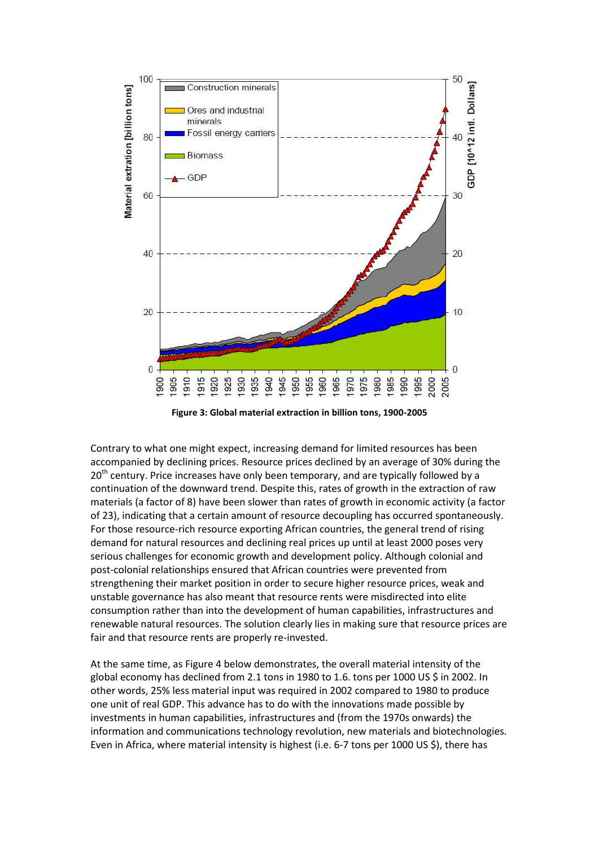

**Figure 3: Global material extraction in billion tons, 1900-2005** 

Contrary to what one might expect, increasing demand for limited resources has been accompanied by declining prices. Resource prices declined by an average of 30% during the 20<sup>th</sup> century. Price increases have only been temporary, and are typically followed by a continuation of the downward trend. Despite this, rates of growth in the extraction of raw materials (a factor of 8) have been slower than rates of growth in economic activity (a factor of 23), indicating that a certain amount of resource decoupling has occurred spontaneously. For those resource-rich resource exporting African countries, the general trend of rising demand for natural resources and declining real prices up until at least 2000 poses very serious challenges for economic growth and development policy. Although colonial and post-colonial relationships ensured that African countries were prevented from strengthening their market position in order to secure higher resource prices, weak and unstable governance has also meant that resource rents were misdirected into elite consumption rather than into the development of human capabilities, infrastructures and renewable natural resources. The solution clearly lies in making sure that resource prices are fair and that resource rents are properly re-invested.

At the same time, as Figure 4 below demonstrates, the overall material intensity of the global economy has declined from 2.1 tons in 1980 to 1.6. tons per 1000 US \$ in 2002. In other words, 25% less material input was required in 2002 compared to 1980 to produce one unit of real GDP. This advance has to do with the innovations made possible by investments in human capabilities, infrastructures and (from the 1970s onwards) the information and communications technology revolution, new materials and biotechnologies. Even in Africa, where material intensity is highest (i.e. 6-7 tons per 1000 US \$), there has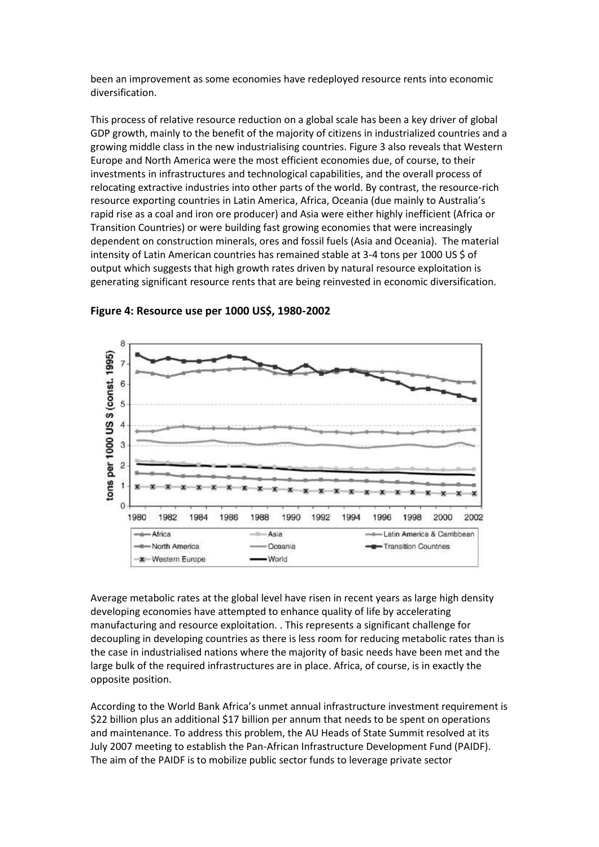been an improvement as some economies have redeployed resource rents into economic diversification.

This process of relative resource reduction on a global scale has been a key driver of global GDP growth, mainly to the benefit of the majority of citizens in industrialized countries and a growing middle class in the new industrialising countries. Figure 3 also reveals that Western Europe and North America were the most efficient economies due, of course, to their investments in infrastructures and technological capabilities, and the overall process of relocating extractive industries into other parts of the world. By contrast, the resource-rich resource exporting countries in Latin America, Africa, Oceania (due mainly to Australia's rapid rise as a coal and iron ore producer) and Asia were either highly inefficient (Africa or Transition Countries) or were building fast growing economies that were increasingly dependent on construction minerals, ores and fossil fuels (Asia and Oceania). The material intensity of Latin American countries has remained stable at 3-4 tons per 1000 US \$ of output which suggests that high growth rates driven by natural resource exploitation is generating significant resource rents that are being reinvested in economic diversification.



**Figure 4: Resource use per 1000 US\$, 1980-2002**

Average metabolic rates at the global level have risen in recent years as large high density developing economies have attempted to enhance quality of life by accelerating manufacturing and resource exploitation. . This represents a significant challenge for decoupling in developing countries as there is less room for reducing metabolic rates than is the case in industrialised nations where the majority of basic needs have been met and the large bulk of the required infrastructures are in place. Africa, of course, is in exactly the opposite position.

According to the World Bank Africa's unmet annual infrastructure investment requirement is \$22 billion plus an additional \$17 billion per annum that needs to be spent on operations and maintenance. To address this problem, the AU Heads of State Summit resolved at its July 2007 meeting to establish the Pan-African Infrastructure Development Fund (PAIDF). The aim of the PAIDF is to mobilize public sector funds to leverage private sector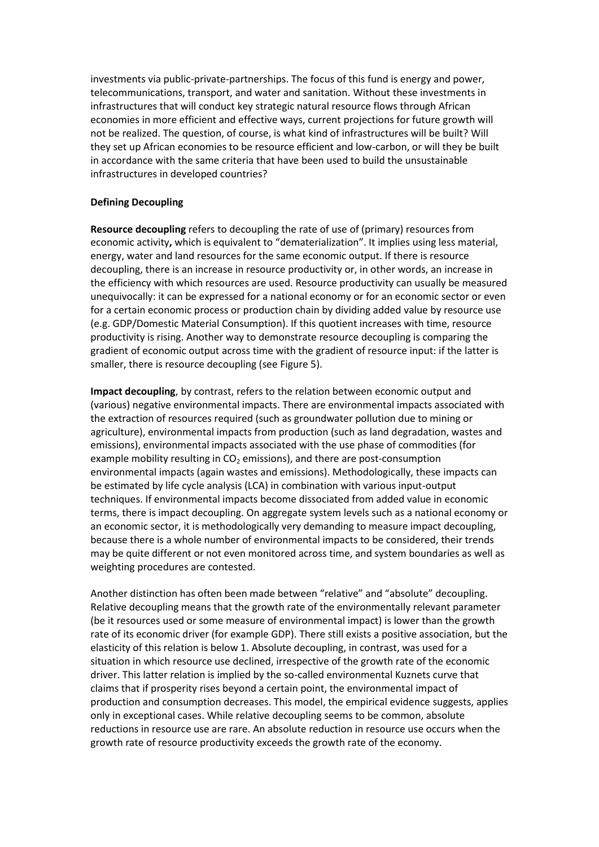investments via public-private-partnerships. The focus of this fund is energy and power, telecommunications, transport, and water and sanitation. Without these investments in infrastructures that will conduct key strategic natural resource flows through African economies in more efficient and effective ways, current projections for future growth will not be realized. The question, of course, is what kind of infrastructures will be built? Will they set up African economies to be resource efficient and low-carbon, or will they be built in accordance with the same criteria that have been used to build the unsustainable infrastructures in developed countries?

# **Defining Decoupling**

**Resource decoupling** refers to decoupling the rate of use of (primary) resources from economic activity**,** which is equivalent to "dematerialization". It implies using less material, energy, water and land resources for the same economic output. If there is resource decoupling, there is an increase in resource productivity or, in other words, an increase in the efficiency with which resources are used. Resource productivity can usually be measured unequivocally: it can be expressed for a national economy or for an economic sector or even for a certain economic process or production chain by dividing added value by resource use (e.g. GDP/Domestic Material Consumption). If this quotient increases with time, resource productivity is rising. Another way to demonstrate resource decoupling is comparing the gradient of economic output across time with the gradient of resource input: if the latter is smaller, there is resource decoupling (see Figure 5).

**Impact decoupling**, by contrast, refers to the relation between economic output and (various) negative environmental impacts. There are environmental impacts associated with the extraction of resources required (such as groundwater pollution due to mining or agriculture), environmental impacts from production (such as land degradation, wastes and emissions), environmental impacts associated with the use phase of commodities (for example mobility resulting in  $CO<sub>2</sub>$  emissions), and there are post-consumption environmental impacts (again wastes and emissions). Methodologically, these impacts can be estimated by life cycle analysis (LCA) in combination with various input-output techniques. If environmental impacts become dissociated from added value in economic terms, there is impact decoupling. On aggregate system levels such as a national economy or an economic sector, it is methodologically very demanding to measure impact decoupling, because there is a whole number of environmental impacts to be considered, their trends may be quite different or not even monitored across time, and system boundaries as well as weighting procedures are contested.

Another distinction has often been made between "relative" and "absolute" decoupling. Relative decoupling means that the growth rate of the environmentally relevant parameter (be it resources used or some measure of environmental impact) is lower than the growth rate of its economic driver (for example GDP). There still exists a positive association, but the elasticity of this relation is below 1. Absolute decoupling, in contrast, was used for a situation in which resource use declined, irrespective of the growth rate of the economic driver. This latter relation is implied by the so-called environmental Kuznets curve that claims that if prosperity rises beyond a certain point, the environmental impact of production and consumption decreases. This model, the empirical evidence suggests, applies only in exceptional cases. While relative decoupling seems to be common, absolute reductions in resource use are rare. An absolute reduction in resource use occurs when the growth rate of resource productivity exceeds the growth rate of the economy.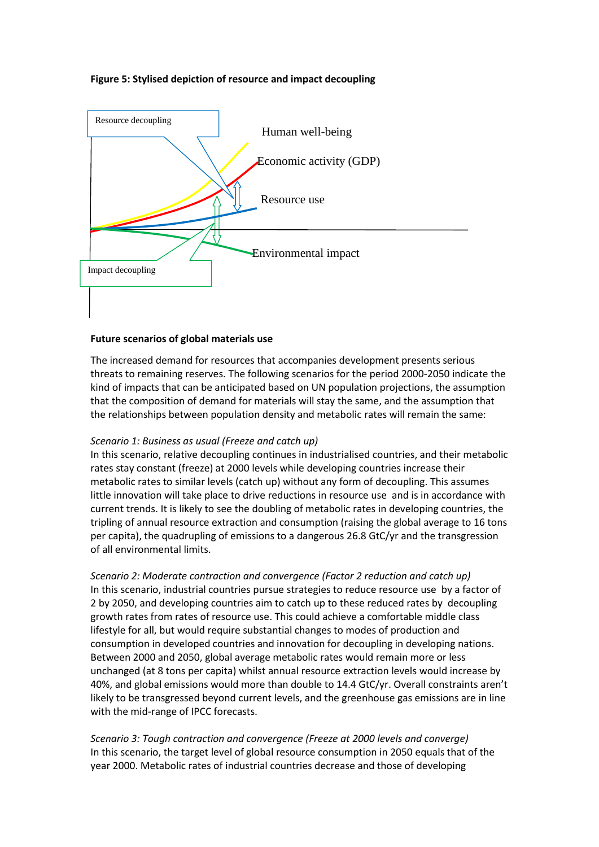# **Figure 5: Stylised depiction of resource and impact decoupling**



# **Future scenarios of global materials use**

The increased demand for resources that accompanies development presents serious threats to remaining reserves. The following scenarios for the period 2000-2050 indicate the kind of impacts that can be anticipated based on UN population projections, the assumption that the composition of demand for materials will stay the same, and the assumption that the relationships between population density and metabolic rates will remain the same:

# *Scenario 1: Business as usual (Freeze and catch up)*

In this scenario, relative decoupling continues in industrialised countries, and their metabolic rates stay constant (freeze) at 2000 levels while developing countries increase their metabolic rates to similar levels (catch up) without any form of decoupling. This assumes little innovation will take place to drive reductions in resource use and is in accordance with current trends. It is likely to see the doubling of metabolic rates in developing countries, the tripling of annual resource extraction and consumption (raising the global average to 16 tons per capita), the quadrupling of emissions to a dangerous 26.8 GtC/yr and the transgression of all environmental limits.

*Scenario 2: Moderate contraction and convergence (Factor 2 reduction and catch up)* In this scenario, industrial countries pursue strategies to reduce resource use by a factor of 2 by 2050, and developing countries aim to catch up to these reduced rates by decoupling growth rates from rates of resource use. This could achieve a comfortable middle class lifestyle for all, but would require substantial changes to modes of production and consumption in developed countries and innovation for decoupling in developing nations. Between 2000 and 2050, global average metabolic rates would remain more or less unchanged (at 8 tons per capita) whilst annual resource extraction levels would increase by 40%, and global emissions would more than double to 14.4 GtC/yr. Overall constraints aren't likely to be transgressed beyond current levels, and the greenhouse gas emissions are in line with the mid-range of IPCC forecasts.

*Scenario 3: Tough contraction and convergence (Freeze at 2000 levels and converge)* In this scenario, the target level of global resource consumption in 2050 equals that of the year 2000. Metabolic rates of industrial countries decrease and those of developing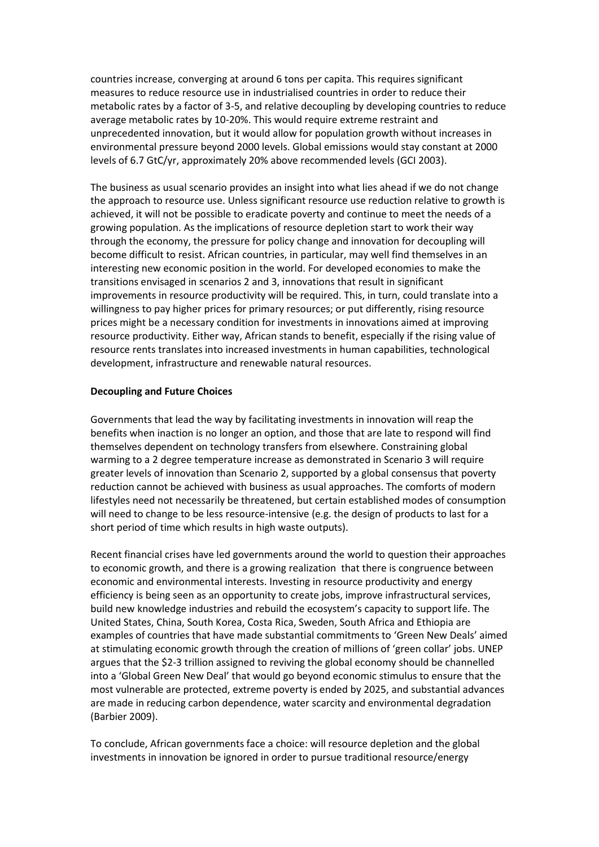countries increase, converging at around 6 tons per capita. This requires significant measures to reduce resource use in industrialised countries in order to reduce their metabolic rates by a factor of 3-5, and relative decoupling by developing countries to reduce average metabolic rates by 10-20%. This would require extreme restraint and unprecedented innovation, but it would allow for population growth without increases in environmental pressure beyond 2000 levels. Global emissions would stay constant at 2000 levels of 6.7 GtC/yr, approximately 20% above recommended levels (GCI 2003).

The business as usual scenario provides an insight into what lies ahead if we do not change the approach to resource use. Unless significant resource use reduction relative to growth is achieved, it will not be possible to eradicate poverty and continue to meet the needs of a growing population. As the implications of resource depletion start to work their way through the economy, the pressure for policy change and innovation for decoupling will become difficult to resist. African countries, in particular, may well find themselves in an interesting new economic position in the world. For developed economies to make the transitions envisaged in scenarios 2 and 3, innovations that result in significant improvements in resource productivity will be required. This, in turn, could translate into a willingness to pay higher prices for primary resources; or put differently, rising resource prices might be a necessary condition for investments in innovations aimed at improving resource productivity. Either way, African stands to benefit, especially if the rising value of resource rents translates into increased investments in human capabilities, technological development, infrastructure and renewable natural resources.

# **Decoupling and Future Choices**

Governments that lead the way by facilitating investments in innovation will reap the benefits when inaction is no longer an option, and those that are late to respond will find themselves dependent on technology transfers from elsewhere. Constraining global warming to a 2 degree temperature increase as demonstrated in Scenario 3 will require greater levels of innovation than Scenario 2, supported by a global consensus that poverty reduction cannot be achieved with business as usual approaches. The comforts of modern lifestyles need not necessarily be threatened, but certain established modes of consumption will need to change to be less resource-intensive (e.g. the design of products to last for a short period of time which results in high waste outputs).

Recent financial crises have led governments around the world to question their approaches to economic growth, and there is a growing realization that there is congruence between economic and environmental interests. Investing in resource productivity and energy efficiency is being seen as an opportunity to create jobs, improve infrastructural services, build new knowledge industries and rebuild the ecosystem's capacity to support life. The United States, China, South Korea, Costa Rica, Sweden, South Africa and Ethiopia are examples of countries that have made substantial commitments to 'Green New Deals' aimed at stimulating economic growth through the creation of millions of 'green collar' jobs. UNEP argues that the \$2-3 trillion assigned to reviving the global economy should be channelled into a 'Global Green New Deal' that would go beyond economic stimulus to ensure that the most vulnerable are protected, extreme poverty is ended by 2025, and substantial advances are made in reducing carbon dependence, water scarcity and environmental degradation (Barbier 2009).

To conclude, African governments face a choice: will resource depletion and the global investments in innovation be ignored in order to pursue traditional resource/energy